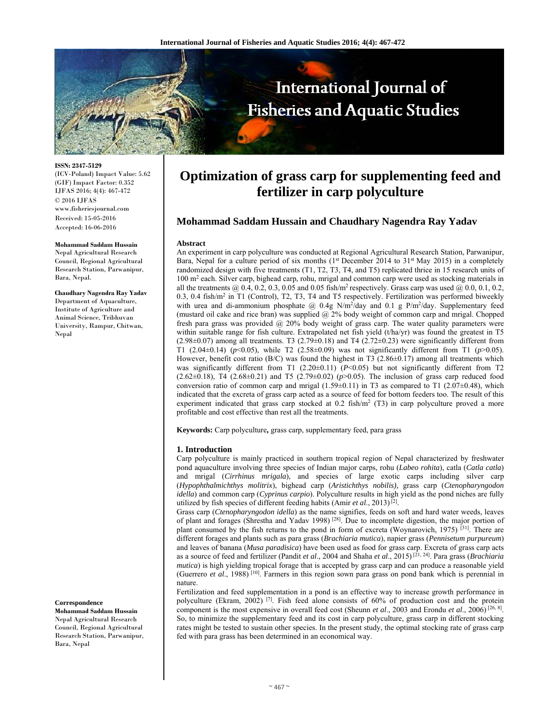

**ISSN: 2347-5129** 

(ICV-Poland) Impact Value: 5.62 (GIF) Impact Factor: 0.352 IJFAS 2016; 4(4): 467-472 © 2016 IJFAS www.fisheriesjournal.com Received: 15-05-2016 Accepted: 16-06-2016

#### **Mohammad Saddam Hussain**

Nepal Agricultural Research Council, Regional Agricultural Research Station, Parwanipur, Bara, Nepal.

**Chaudhary Nagendra Ray Yadav**  Department of Aquaculture, Institute of Agriculture and Animal Science, Tribhuvan University, Rampur, Chitwan, Nepal

**Correspondence** 

**Mohammad Saddam Hussain**  Nepal Agricultural Research Council, Regional Agricultural Research Station, Parwanipur, Bara, Nepal

# **Optimization of grass carp for supplementing feed and fertilizer in carp polyculture**

# **Mohammad Saddam Hussain and Chaudhary Nagendra Ray Yadav**

#### **Abstract**

An experiment in carp polyculture was conducted at Regional Agricultural Research Station, Parwanipur, Bara, Nepal for a culture period of six months (1<sup>st</sup> December 2014 to 31<sup>st</sup> May 2015) in a completely randomized design with five treatments (T1, T2, T3, T4, and T5) replicated thrice in 15 research units of 100 m<sup>2</sup> each. Silver carp, bighead carp, rohu, mrigal and common carp were used as stocking materials in all the treatments  $@$  0.4, 0.2, 0.3, 0.05 and 0.05 fish/m<sup>2</sup> respectively. Grass carp was used  $@$  0.0, 0.1, 0.2, 0.3, 0.4 fish/m<sup>2</sup> in T1 (Control), T2, T3, T4 and T5 respectively. Fertilization was performed biweekly with urea and di-ammonium phosphate  $@$  0.4g N/m<sup>2</sup>/day and 0.1 g P/m<sup>2</sup>/day. Supplementary feed (mustard oil cake and rice bran) was supplied @ 2% body weight of common carp and mrigal. Chopped fresh para grass was provided @ 20% body weight of grass carp. The water quality parameters were within suitable range for fish culture. Extrapolated net fish yield (t/ha/yr) was found the greatest in T5  $(2.98\pm0.07)$  among all treatments. T3  $(2.79\pm0.18)$  and T4  $(2.72\pm0.23)$  were significantly different from T1 (2.04±0.14) (*p*<0.05), while T2 (2.58±0.09) was not significantly different from T1 (*p*>0.05). However, benefit cost ratio ( $B/C$ ) was found the highest in T3 (2.86 $\pm$ 0.17) among all treatments which was significantly different from T1  $(2.20\pm0.11)$   $(P<0.05)$  but not significantly different from T2 (2.62±0.18), T4 (2.68±0.21) and T5 (2.79±0.02) (*p*>0.05). The inclusion of grass carp reduced food conversion ratio of common carp and mrigal  $(1.59\pm0.11)$  in T3 as compared to T1 (2.07 $\pm$ 0.48), which indicated that the excreta of grass carp acted as a source of feed for bottom feeders too. The result of this experiment indicated that grass carp stocked at  $0.2$  fish/m<sup>2</sup> (T3) in carp polyculture proved a more profitable and cost effective than rest all the treatments.

**Keywords:** Carp polyculture**,** grass carp, supplementary feed, para grass

#### **1. Introduction**

Carp polyculture is mainly practiced in southern tropical region of Nepal characterized by freshwater pond aquaculture involving three species of Indian major carps, rohu (*Labeo rohita*), catla (*Catla catla*) and mrigal (*Cirrhinus mrigala*), and species of large exotic carps including silver carp (*Hypophthalmichthys molitrix*), bighead carp (*Aristichthys nobilis),* grass carp (*Ctenopharyngodon idella*) and common carp (*Cyprinus carpio*). Polyculture results in high yield as the pond niches are fully utilized by fish species of different feeding habits (Amir *et al*., 2013) [2].

Grass carp (*Ctenopharyngodon idella*) as the name signifies, feeds on soft and hard water weeds, leaves of plant and forages (Shrestha and Yadav 1998)<sup>[28]</sup>. Due to incomplete digestion, the major portion of plant consumed by the fish returns to the pond in form of excreta (Woynarovich, 1975)  $[31]$ . There are different forages and plants such as para grass (*Brachiaria mutica*), napier grass (*Pennisetum purpureum*) and leaves of banana (*Musa paradisica*) have been used as food for grass carp. Excreta of grass carp acts as a source of feed and fertilizer (Pandit *et al*., 2004 and Shaha *et al*., 2015) [21, 24]. Para grass (*Brachiaria mutica*) is high yielding tropical forage that is accepted by grass carp and can produce a reasonable yield (Guerrero *et al*., 1988) [10]. Farmers in this region sown para grass on pond bank which is perennial in nature.

Fertilization and feed supplementation in a pond is an effective way to increase growth performance in polyculture (Ekram, 2002)<sup>[7]</sup>. Fish feed alone consists of 60% of production cost and the protein component is the most expensive in overall feed cost (Sheunn *et al*., 2003 and Erondu *et al*., 2006) [26, 8]. So, to minimize the supplementary feed and its cost in carp polyculture, grass carp in different stocking rates might be tested to sustain other species. In the present study, the optimal stocking rate of grass carp fed with para grass has been determined in an economical way.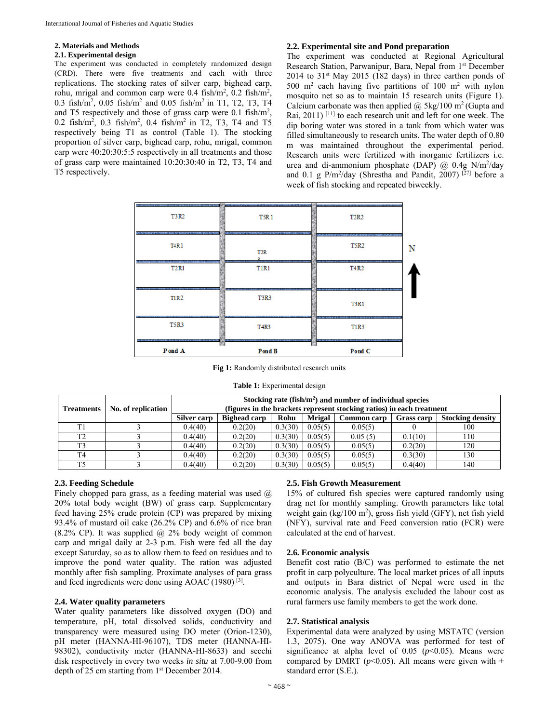# **2. Materials and Methods**

## **2.1. Experimental design**

The experiment was conducted in completely randomized design (CRD). There were five treatments and each with three replications. The stocking rates of silver carp, bighead carp, rohu, mrigal and common carp were  $0.4 \text{ fish/m}^2$ ,  $0.2 \text{ fish/m}^2$ , 0.3 fish/m2 , 0.05 fish/m2 and 0.05 fish/m2 in T1, T2, T3, T4 and T5 respectively and those of grass carp were 0.1 fish/m2 , 0.2 fish/m<sup>2</sup>, 0.3 fish/m<sup>2</sup>, 0.4 fish/m<sup>2</sup> in T2, T3, T4 and T5 respectively being T1 as control (Table 1). The stocking proportion of silver carp, bighead carp, rohu, mrigal, common carp were 40:20:30:5:5 respectively in all treatments and those of grass carp were maintained 10:20:30:40 in T2, T3, T4 and T5 respectively.

## **2.2. Experimental site and Pond preparation**

The experiment was conducted at Regional Agricultural Research Station, Parwanipur, Bara, Nepal from 1<sup>st</sup> December  $2014$  to  $31<sup>st</sup>$  May  $2015$  (182 days) in three earthen ponds of 500 m2 each having five partitions of 100 m2 with nylon mosquito net so as to maintain 15 research units (Figure 1). Calcium carbonate was then applied  $\omega$  5kg/100 m<sup>2</sup> (Gupta and Rai, 2011) <sup>[11]</sup> to each research unit and left for one week. The dip boring water was stored in a tank from which water was filled simultaneously to research units. The water depth of 0.80 m was maintained throughout the experimental period. Research units were fertilized with inorganic fertilizers i.e. urea and di-ammonium phosphate (DAP)  $\omega$  0.4g N/m<sup>2</sup>/day and 0.1 g  $P/m^2$ /day (Shrestha and Pandit, 2007)<sup>[27]</sup> before a week of fish stocking and repeated biweekly.

| Pond A                                                                            | Pond B                                         | Pond C                                                                           |  |
|-----------------------------------------------------------------------------------|------------------------------------------------|----------------------------------------------------------------------------------|--|
| <b>T5R3</b><br><b>BE SUPERTY FUFT</b><br>.                                        | <b>T4R3</b><br>.                               | <b>T1R3</b><br><b>The Secretary</b><br><b>ISLENTIFE</b>                          |  |
| <b>T1R2</b>                                                                       | <b>T3R3</b>                                    | <b>T3R1</b><br><b>MELTIMETER</b><br><b>THE ROY OFF</b>                           |  |
| -----------<br>ਰਵਾਸ ਸਾ<br><b>T2R1</b><br><b><i><u>RESERVED FOR STREET</u></i></b> | <b>T1R1</b>                                    | T4R2                                                                             |  |
| <b>T4R1</b>                                                                       | T <sub>2</sub> R                               | <u>un bernaman in</u><br><b>MAN STATISTIC</b><br>,,,,,,,,,,,,,,,,<br><b>T5R2</b> |  |
| <b>SCRIPTORES</b><br>T3R2<br><b>ARANGERS PART</b><br><b>PUTTET</b>                | T <sub>5R1</sub><br><b>SENTINER</b><br>,,,,,,, | <b>T2R2</b>                                                                      |  |

**Fig 1:** Randomly distributed research units

|  |  | <b>Table 1:</b> Experimental design |  |
|--|--|-------------------------------------|--|
|--|--|-------------------------------------|--|

| <b>Treatments</b> | No. of replication                                                                                            | Stocking rate $(fish/m2)$ and number of individual species<br>(figures in the brackets represent stocking ratios) in each treatment |         |         |         |         |         |                         |
|-------------------|---------------------------------------------------------------------------------------------------------------|-------------------------------------------------------------------------------------------------------------------------------------|---------|---------|---------|---------|---------|-------------------------|
|                   | <b>Mrigal</b><br><b>Silver carp</b><br><b>Bighead carp</b><br>Rohu<br><b>Common carp</b><br><b>Grass carp</b> |                                                                                                                                     |         |         |         |         |         | <b>Stocking density</b> |
| T <sub>1</sub>    |                                                                                                               | 0.4(40)                                                                                                                             | 0.2(20) | 0.3(30) | 0.05(5) | 0.05(5) |         | 100                     |
| T <sub>2</sub>    |                                                                                                               | 0.4(40)                                                                                                                             | 0.2(20) | 0.3(30) | 0.05(5) | 0.05(5) | 0.1(10) | 110                     |
| T <sub>3</sub>    |                                                                                                               | 0.4(40)                                                                                                                             | 0.2(20) | 0.3(30) | 0.05(5) | 0.05(5) | 0.2(20) | 120                     |
| T <sub>4</sub>    |                                                                                                               | 0.4(40)                                                                                                                             | 0.2(20) | 0.3(30) | 0.05(5) | 0.05(5) | 0.3(30) | 130                     |
| T <sub>5</sub>    |                                                                                                               | 0.4(40)                                                                                                                             | 0.2(20) | 0.3(30) | 0.05(5) | 0.05(5) | 0.4(40) | 140                     |

# **2.3. Feeding Schedule**

Finely chopped para grass, as a feeding material was used  $\omega$ 20% total body weight (BW) of grass carp. Supplementary feed having 25% crude protein (CP) was prepared by mixing 93.4% of mustard oil cake (26.2% CP) and 6.6% of rice bran (8.2% CP). It was supplied  $@$  2% body weight of common carp and mrigal daily at 2-3 p.m. Fish were fed all the day except Saturday, so as to allow them to feed on residues and to improve the pond water quality. The ration was adjusted monthly after fish sampling. Proximate analyses of para grass and feed ingredients were done using AOAC (1980)<sup>[3]</sup>.

## **2.4. Water quality parameters**

Water quality parameters like dissolved oxygen (DO) and temperature, pH, total dissolved solids, conductivity and transparency were measured using DO meter (Orion-1230), pH meter (HANNA-HI-96107), TDS meter (HANNA-HI-98302), conductivity meter (HANNA-HI-8633) and secchi disk respectively in every two weeks *in situ* at 7.00-9.00 from depth of 25 cm starting from 1<sup>st</sup> December 2014.

# **2.5. Fish Growth Measurement**

15% of cultured fish species were captured randomly using drag net for monthly sampling. Growth parameters like total weight gain (kg/100 m<sup>2</sup>), gross fish yield (GFY), net fish yield (NFY), survival rate and Feed conversion ratio (FCR) were calculated at the end of harvest.

#### **2.6. Economic analysis**

Benefit cost ratio (B/C) was performed to estimate the net profit in carp polyculture. The local market prices of all inputs and outputs in Bara district of Nepal were used in the economic analysis. The analysis excluded the labour cost as rural farmers use family members to get the work done.

#### **2.7. Statistical analysis**

Experimental data were analyzed by using MSTATC (version 1.3, 2075). One way ANOVA was performed for test of significance at alpha level of  $0.05$  ( $p<0.05$ ). Means were compared by DMRT ( $p$ <0.05). All means were given with  $\pm$ standard error (S.E.).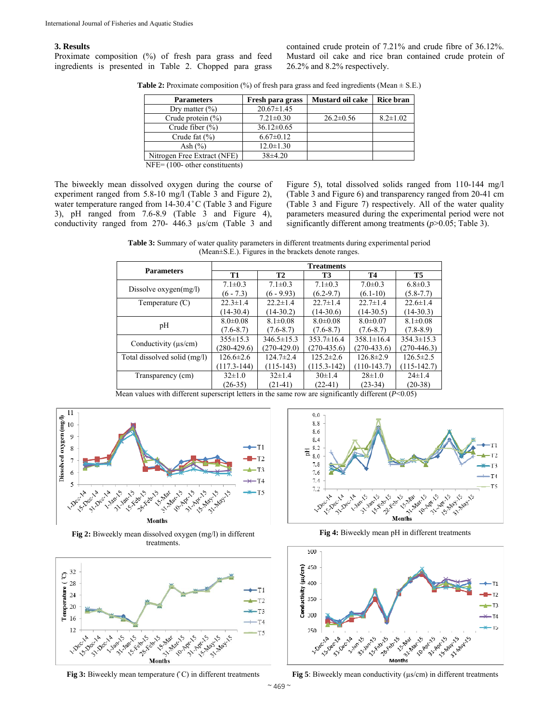## **3. Results**

Proximate composition (%) of fresh para grass and feed ingredients is presented in Table 2. Chopped para grass contained crude protein of 7.21% and crude fibre of 36.12%. Mustard oil cake and rice bran contained crude protein of 26.2% and 8.2% respectively.

**Table 2:** Proximate composition (%) of fresh para grass and feed ingredients (Mean  $\pm$  S.E.)

| <b>Parameters</b>                       | Fresh para grass | Mustard oil cake | <b>Rice bran</b> |
|-----------------------------------------|------------------|------------------|------------------|
| Dry matter $(\% )$                      | $20.67 \pm 1.45$ |                  |                  |
| Crude protein $(\% )$                   | $7.21 \pm 0.30$  | $26.2 \pm 0.56$  | $8.2 \pm 1.02$   |
| Crude fiber $(\% )$                     | $36.12 \pm 0.65$ |                  |                  |
| Crude fat $(\% )$                       | $6.67 \pm 0.12$  |                  |                  |
| Ash $(\% )$                             | $12.0 \pm 1.30$  |                  |                  |
| Nitrogen Free Extract (NFE)             | $38\pm4.20$      |                  |                  |
| $NEE - (100 \text{ ohom}_{\text{com}})$ |                  |                  |                  |

NFE= (100- other constituents)

The biweekly mean dissolved oxygen during the course of experiment ranged from 5.8-10 mg/l (Table 3 and Figure 2), water temperature ranged from 14-30.4 °C (Table 3 and Figure 3), pH ranged from 7.6-8.9 (Table 3 and Figure 4), conductivity ranged from 270- 446.3 µs/cm (Table 3 and

Figure 5), total dissolved solids ranged from 110-144 mg/l (Table 3 and Figure 6) and transparency ranged from 20-41 cm (Table 3 and Figure 7) respectively. All of the water quality parameters measured during the experimental period were not significantly different among treatments ( $p > 0.05$ ; Table 3).

**Table 3:** Summary of water quality parameters in different treatments during experimental period (Mean±S.E.). Figures in the brackets denote ranges.

|                              |                 |                  | <b>Treatments</b> |                  |                  |
|------------------------------|-----------------|------------------|-------------------|------------------|------------------|
| <b>Parameters</b>            | <b>T1</b>       | <b>T2</b>        | <b>T3</b>         | Т4               | <b>T5</b>        |
|                              | $7.1 \pm 0.3$   | $7.1 \pm 0.3$    | $7.1 \pm 0.3$     | $7.0 \pm 0.3$    | $6.8 \pm 0.3$    |
| Dissolve $oxygen(mg/l)$      | $(6 - 7.3)$     | $(6 - 9.93)$     | $(6.2 - 9.7)$     | $(6.1-10)$       | $(5.8 - 7.7)$    |
| Temperature $(C)$            | $22.3 \pm 1.4$  | $22.2 \pm 1.4$   | $22.7 \pm 1.4$    | $22.7 \pm 1.4$   | $22.6 \pm 1.4$   |
|                              | $(14-30.4)$     | $(14-30.2)$      | $(14-30.6)$       | $(14-30.5)$      | $(14-30.3)$      |
|                              | $8.0 \pm 0.08$  | $8.1 \pm 0.08$   | $8.0 \pm 0.08$    | $8.0 \pm 0.07$   | $8.1 \pm 0.08$   |
| pH                           | $(7.6 - 8.7)$   | $(7.6 - 8.7)$    | $(7.6 - 8.7)$     | $(7.6 - 8.7)$    | $(7.8 - 8.9)$    |
| Conductivity $(\mu s/cm)$    | $355 \pm 15.3$  | $346.5 \pm 15.3$ | $353.7 \pm 16.4$  | $358.1 \pm 16.4$ | $354.3 \pm 15.3$ |
|                              | $(280-429.6)$   | $(270-429.0)$    | $(270-435.6)$     | $(270-433.6)$    | $(270-446.3)$    |
| Total dissolved solid (mg/l) | $126.6 \pm 2.6$ | $124.7 \pm 2.4$  | $125.2 \pm 2.6$   | $126.8 \pm 2.9$  | $126.5 \pm 2.5$  |
|                              | $(117.3 - 144)$ | $(115-143)$      | $(115.3 - 142)$   | $(110-143.7)$    | $(115-142.7)$    |
| Transparency (cm)            | $32\pm1.0$      | $32\pm1.4$       | $30 \pm 1.4$      | $28 \pm 1.0$     | $24 \pm 1.4$     |
|                              | $(26-35)$       | $(21-41)$        | $(22-41)$         | $(23-34)$        | $(20-38)$        |

Mean values with different superscript letters in the same row are significantly different (*P*<0.05)



**Fig 2:** Biweekly mean dissolved oxygen (mg/l) in different treatments.



**Fig 3:** Biweekly mean temperature  $\binom{c}{c}$  in different treatments



**Fig 4:** Biweekly mean pH in different treatments



**Fig 5**: Biweekly mean conductivity ( $\mu s/cm$ ) in different treatments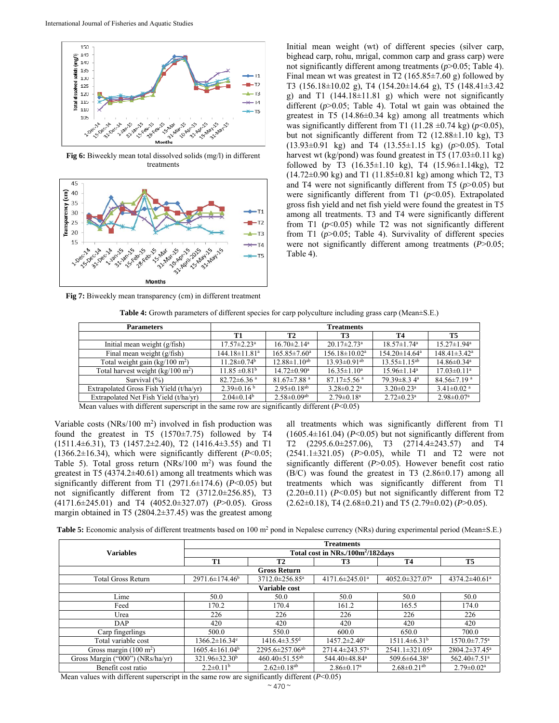

**Fig 6:** Biweekly mean total dissolved solids (mg/l) in different treatments



Initial mean weight (wt) of different species (silver carp, bighead carp, rohu, mrigal, common carp and grass carp) were not significantly different among treatments (*p*>0.05; Table 4). Final mean wt was greatest in T2  $(165.85 \pm 7.60 \text{ g})$  followed by T3 (156.18±10.02 g), T4 (154.20±14.64 g), T5 (148.41±3.42 g) and T1  $(144.18 \pm 11.81)$  g) which were not significantly different (*p*>0.05; Table 4). Total wt gain was obtained the greatest in T5  $(14.86\pm0.34 \text{ kg})$  among all treatments which was significantly different from T1 (11.28  $\pm$ 0.74 kg) ( $p$ <0.05), but not significantly different from T2 (12.88±1.10 kg), T3 (13.93±0.91 kg) and T4 (13.55±1.15 kg) (*p*>0.05). Total harvest wt (kg/pond) was found greatest in T5 (17.03±0.11 kg) followed by T3  $(16.35 \pm 1.10 \text{ kg})$ , T4  $(15.96 \pm 1.14 \text{ kg})$ , T2 (14.72±0.90 kg) and T1 (11.85±0.81 kg) among which T2, T3 and T4 were not significantly different from T5 (*p*>0.05) but were significantly different from T1 ( $p$ <0.05). Extrapolated gross fish yield and net fish yield were found the greatest in T5 among all treatments. T3 and T4 were significantly different from T1  $(p<0.05)$  while T2 was not significantly different from T1 ( $p > 0.05$ ; Table 4). Survivality of different species were not significantly different among treatments (*P*>0.05; Table 4).

**Fig 7:** Biweekly mean transparency (cm) in different treatment

**Table 4:** Growth parameters of different species for carp polyculture including grass carp (Mean±S.E.)

| <b>Parameters</b>                                 | <b>Treatments</b>               |                               |                                 |                                 |                               |  |
|---------------------------------------------------|---------------------------------|-------------------------------|---------------------------------|---------------------------------|-------------------------------|--|
|                                                   | T1                              | <b>T2</b>                     | T3                              | Т4                              | T5                            |  |
| Initial mean weight $(g/fish)$                    | $17.57 \pm 2.23$ <sup>a</sup>   | $16.70 \pm 2.14$ <sup>a</sup> | $20.17 \pm 2.73$ <sup>a</sup>   | $18.57 \pm 1.74$ <sup>a</sup>   | $15.27 \pm 1.94$ <sup>a</sup> |  |
| Final mean weight (g/fish)                        | $144.18 \pm 11.81$ <sup>a</sup> | $165.85 \pm 7.60^{\circ}$     | $156.18 \pm 10.02^{\mathrm{a}}$ | $154.20 \pm 14.64$ <sup>a</sup> | $148.41 \pm 3.42^a$           |  |
| Total weight gain ( $\text{kg}/100 \text{ m}^2$ ) | $11.28 \pm 0.74$ <sup>b</sup>   | $12.88 \pm 1.10^{ab}$         | $13.93 \pm 0.91$ <sup>ab</sup>  | $13.55 \pm 1.15^{ab}$           | $14.86 \pm 0.34$ <sup>a</sup> |  |
| Total harvest weight $(kg/100 \text{ m}^2)$       | $11.85 \pm 0.81^{\rm b}$        | $14.72 \pm 0.90^{\mathrm{a}}$ | $16.35 \pm 1.10^a$              | $15.96 \pm 1.14^a$              | $17.03 \pm 0.11$ <sup>a</sup> |  |
| Survival $(\%)$                                   | $82.72 \pm 6.36$ <sup>a</sup>   | $81.67 \pm 7.88$ <sup>a</sup> | $87.17 \pm 5.56$ <sup>a</sup>   | $79.39 \pm 8.34$ <sup>a</sup>   | $84.56 \pm 7.19$ <sup>a</sup> |  |
| Extrapolated Gross Fish Yield (t/ha/yr)           | $2.39\pm0.16^{b}$               | $2.95 \pm 0.18$ <sup>ab</sup> | $3.28 \pm 0.22$ <sup>a</sup>    | $3.20 \pm 0.23$ <sup>a</sup>    | $3.41 \pm 0.02$ <sup>a</sup>  |  |
| Extrapolated Net Fish Yield (t/ha/vr)             | $2.04 \pm 0.14$ <sup>b</sup>    | $2.58 \pm 0.09$ <sup>ab</sup> | $2.79 \pm 0.18$ <sup>a</sup>    | $2.72 \pm 0.23$ <sup>a</sup>    | $2.98 \pm 0.07$ <sup>a</sup>  |  |

Mean values with different superscript in the same row are significantly different (*P*<0.05)

Variable costs  $(NRs/100 \text{ m}^2)$  involved in fish production was found the greatest in T5  $(1570\pm7.75)$  followed by T4 (1511.4±6.31), T3 (1457.2±2.40), T2 (1416.4±3.55) and T1 (1366.2±16.34), which were significantly different (*P*<0.05; Table 5). Total gross return  $(NRs/100 \text{ m}^2)$  was found the greatest in T5 (4374.2±40.61) among all treatments which was significantly different from T1  $(2971.6\pm174.6)$   $(P<0.05)$  but not significantly different from T2 (3712.0±256.85), T3 (4171.6±245.01) and T4 (4052.0±327.07) (*P*>0.05). Gross margin obtained in T5 (2804.2±37.45) was the greatest among

all treatments which was significantly different from T1  $(1605.4\pm161.04)$  ( $P<0.05$ ) but not significantly different from T2 (2295.6.0±257.06), T3 (2714.4±243.57) and T4 (2541.1±321.05) (*P*>0.05), while T1 and T2 were not significantly different (*P*>0.05). However benefit cost ratio  $(B/C)$  was found the greatest in T3  $(2.86\pm0.17)$  among all treatments which was significantly different from T1  $(2.20\pm0.11)$   $(P<0.05)$  but not significantly different from T2 (2.62±0.18), T4 (2.68±0.21) and T5 (2.79±0.02) (*P*>0.05).

**Table 5:** Economic analysis of different treatments based on 100 m<sup>2</sup> pond in Nepalese currency (NRs) during experimental period (Mean $\pm$ S.E.)

|                                  |                                               |                                  | <b>Treatments</b>                |                               |                                 |  |
|----------------------------------|-----------------------------------------------|----------------------------------|----------------------------------|-------------------------------|---------------------------------|--|
| <b>Variables</b>                 | Total cost in NRs./100m <sup>2</sup> /182days |                                  |                                  |                               |                                 |  |
|                                  | <b>T1</b>                                     | <b>T2</b>                        | T <sub>3</sub>                   | <b>T4</b>                     | <b>T5</b>                       |  |
|                                  |                                               | <b>Gross Return</b>              |                                  |                               |                                 |  |
| <b>Total Gross Return</b>        | $2971.6 \pm 174.46^b$                         | 3712.0±256.85 <sup>a</sup>       | 4171.6 $\pm$ 245.01 <sup>a</sup> | 4052.0±327.07 <sup>a</sup>    | 4374.2 $\pm$ 40.61 <sup>a</sup> |  |
|                                  |                                               | Variable cost                    |                                  |                               |                                 |  |
| Lime                             | 50.0                                          | 50.0                             | 50.0                             | 50.0                          | 50.0                            |  |
| Feed                             | 170.2                                         | 170.4                            | 161.2                            | 165.5                         | 174.0                           |  |
| Urea                             | 226                                           | 226                              | 226                              | 226                           | 226                             |  |
| <b>DAP</b>                       | 420                                           | 420                              | 420                              | 420                           | 420                             |  |
| Carp fingerlings                 | 500.0                                         | 550.0                            | 600.0                            | 650.0                         | 700.0                           |  |
| Total variable cost              | $1366.2 \pm 16.34$ <sup>e</sup>               | $1416.4 \pm 3.55$ <sup>d</sup>   | $1457.2 \pm 2.40^{\circ}$        | $1511.4\pm6.31^{\rm b}$       | $1570.0 \pm 7.75^{\mathrm{a}}$  |  |
| Gross margin $(100 \text{ m}^2)$ | $1605.4 \pm 161.04^b$                         | $2295.6 \pm 257.06^{ab}$         | $2714.4 \pm 243.57$ <sup>a</sup> | $2541.1 \pm 321.05^a$         | $2804.2 \pm 37.45^{\circ}$      |  |
| Gross Margin ("000") (NRs/ha/yr) | $321.96 \pm 32.30^b$                          | $460.40 \pm 51.55$ <sup>ab</sup> | 544.40±48.84ª                    | 509.6±64.38 <sup>a</sup>      | 562.40±7.51 <sup>a</sup>        |  |
| Benefit cost ratio               | $2.2\pm0.11^{\rm b}$                          | $2.62 \pm 0.18$ <sup>ab</sup>    | $2.86 \pm 0.17$ <sup>a</sup>     | $2.68 \pm 0.21$ <sup>ab</sup> | $2.79 \pm 0.02^{\text{a}}$      |  |

Mean values with different superscript in the same row are significantly different (*P*<0.05)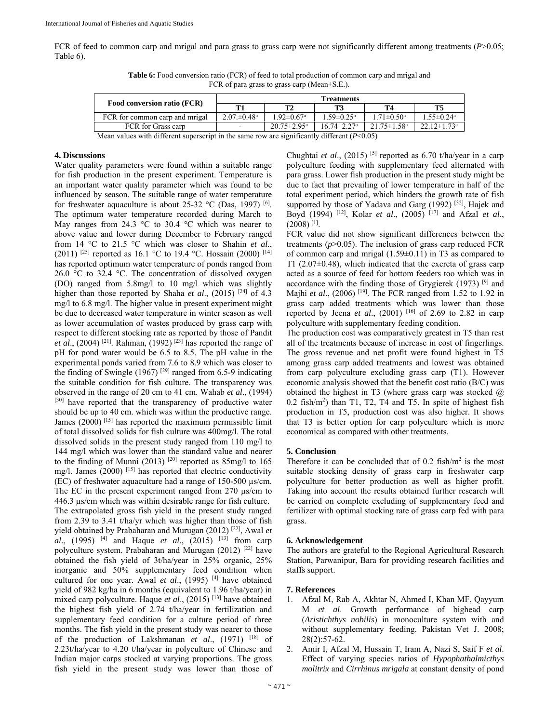FCR of feed to common carp and mrigal and para grass to grass carp were not significantly different among treatments (*P*>0.05; Table 6).

**Table 6:** Food conversion ratio (FCR) of feed to total production of common carp and mrigal and FCR of para grass to grass carp (Mean±S.E.).

|                                |                                   |                               | <b>Treatments</b>             |                               |                               |
|--------------------------------|-----------------------------------|-------------------------------|-------------------------------|-------------------------------|-------------------------------|
| Food conversion ratio (FCR)    |                                   | T?                            |                               | Т4                            | T5                            |
| FCR for common carp and mrigal | $2.07 \pm 0.48$ <sup>a</sup>      | $1.92 \pm 0.67$ <sup>a</sup>  | $.59 \pm 0.25^{\mathrm{a}}$   | $1.71 \pm 0.50^{\circ}$       | $1.55 \pm 0.24$ <sup>a</sup>  |
| FCR for Grass carp             | -                                 | $20.75 \pm 2.95^{\mathrm{a}}$ | $16.74 \pm 2.27$ <sup>a</sup> | $21.75 \pm 1.58$ <sup>a</sup> | $22.12 \pm 1.73$ <sup>a</sup> |
| $1.1 - 11.00$                  | $-1 - 1200$<br>(0, 0, 0, 0, 0, 0) |                               |                               |                               |                               |

Mean values with different superscript in the same row are significantly different (*P*<0.05)

#### **4. Discussions**

Water quality parameters were found within a suitable range for fish production in the present experiment. Temperature is an important water quality parameter which was found to be influenced by season. The suitable range of water temperature for freshwater aquaculture is about 25-32  $\rm{°C}$  (Das, 1997) [6]. The optimum water temperature recorded during March to May ranges from 24.3  $\degree$ C to 30.4  $\degree$ C which was nearer to above value and lower during December to February ranged from 14 °C to 21.5 °C which was closer to Shahin *et al.*, (2011) <sup>[25]</sup> reported as 16.1 °C to 19.4 °C. Hossain (2000) <sup>[14]</sup> has reported optimum water temperature of ponds ranged from 26.0  $\degree$ C to 32.4  $\degree$ C. The concentration of dissolved oxygen (DO) ranged from 5.8mg/l to 10 mg/l which was slightly higher than those reported by Shaha *et al.*, (2015)<sup>[24]</sup> of 4.3 mg/l to 6.8 mg/l. The higher value in present experiment might be due to decreased water temperature in winter season as well as lower accumulation of wastes produced by grass carp with respect to different stocking rate as reported by those of Pandit *et al*., (2004) [21]. Rahman, (1992) [23] has reported the range of pH for pond water would be 6.5 to 8.5. The pH value in the experimental ponds varied from 7.6 to 8.9 which was closer to the finding of Swingle (1967)<sup>[29]</sup> ranged from 6.5-9 indicating the suitable condition for fish culture. The transparency was observed in the range of 20 cm to 41 cm. Wahab *et al*., (1994) [30] have reported that the transparency of productive water should be up to 40 cm. which was within the productive range. James (2000) [15] has reported the maximum permissible limit of total dissolved solids for fish culture was 400mg/l. The total dissolved solids in the present study ranged from 110 mg/l to 144 mg/l which was lower than the standard value and nearer to the finding of Munni (2013)  $[20]$  reported as 85mg/l to 165 mg/l. James (2000) [15] has reported that electric conductivity (EC) of freshwater aquaculture had a range of 150-500 µs/cm. The EC in the present experiment ranged from 270  $\mu$ s/cm to 446.3 µs/cm which was within desirable range for fish culture. The extrapolated gross fish yield in the present study ranged from 2.39 to 3.41 t/ha/yr which was higher than those of fish yield obtained by Prabaharan and Murugan (2012) [22], Awal *et al.*, (1995) <sup>[4]</sup> and Haque *et al.*, (2015) <sup>[13]</sup> from carp polyculture system. Prabaharan and Murugan (2012) [22] have obtained the fish yield of 3t/ha/year in 25% organic, 25% inorganic and 50% supplementary feed condition when cultured for one year. Awal *et al*., (1995) [4] have obtained yield of 982 kg/ha in 6 months (equivalent to 1.96 t/ha/year) in mixed carp polyculture. Haque *et al*., (2015) [13] have obtained the highest fish yield of 2.74 t/ha/year in fertilization and supplementary feed condition for a culture period of three months. The fish yield in the present study was nearer to those of the production of Lakshmanan *et al*., (1971) [18] of 2.23t/ha/year to 4.20 t/ha/year in polyculture of Chinese and Indian major carps stocked at varying proportions. The gross fish yield in the present study was lower than those of

Chughtai *et al*., (2015) [5] reported as 6.70 t/ha/year in a carp polyculture feeding with supplementary feed alternated with para grass. Lower fish production in the present study might be due to fact that prevailing of lower temperature in half of the total experiment period, which hinders the growth rate of fish supported by those of Yadava and Garg  $(1992)$  [32], Hajek and Boyd (1994) [12], Kolar *et al*., (2005) [17] and Afzal *et al*.,  $(2008)$ <sup>[1]</sup>.

FCR value did not show significant differences between the treatments (*p*>0.05). The inclusion of grass carp reduced FCR of common carp and mrigal (1.59±0.11) in T3 as compared to T1  $(2.07\pm0.48)$ , which indicated that the excreta of grass carp acted as a source of feed for bottom feeders too which was in accordance with the finding those of Grygierek  $(1973)$ <sup>[9]</sup> and Majhi *et al*., (2006) [19]. The FCR ranged from 1.52 to 1.92 in grass carp added treatments which was lower than those reported by Jeena *et al.*, (2001) <sup>[16]</sup> of 2.69 to 2.82 in carp polyculture with supplementary feeding condition.

The production cost was comparatively greatest in T5 than rest all of the treatments because of increase in cost of fingerlings. The gross revenue and net profit were found highest in T5 among grass carp added treatments and lowest was obtained from carp polyculture excluding grass carp (T1). However economic analysis showed that the benefit cost ratio (B/C) was obtained the highest in T3 (where grass carp was stocked  $\omega$ 0.2 fish/m2 ) than T1, T2, T4 and T5. In spite of highest fish production in T5, production cost was also higher. It shows that T3 is better option for carp polyculture which is more economical as compared with other treatments.

#### **5. Conclusion**

Therefore it can be concluded that of  $0.2$  fish/ $m<sup>2</sup>$  is the most suitable stocking density of grass carp in freshwater carp polyculture for better production as well as higher profit. Taking into account the results obtained further research will be carried on complete excluding of supplementary feed and fertilizer with optimal stocking rate of grass carp fed with para grass.

## **6. Acknowledgement**

The authors are grateful to the Regional Agricultural Research Station, Parwanipur, Bara for providing research facilities and staffs support.

#### **7. References**

- 1. Afzal M, Rab A, Akhtar N, Ahmed I, Khan MF, Qayyum M *et al*. Growth performance of bighead carp (*Aristichthys nobilis*) in monoculture system with and without supplementary feeding. Pakistan Vet J. 2008; 28(2):57-62.
- 2. Amir I, Afzal M, Hussain T, Iram A, Nazi S, Saif F *et al*. Effect of varying species ratios of *Hypophathalmicthys molitrix* and *Cirrhinus mrigala* at constant density of pond